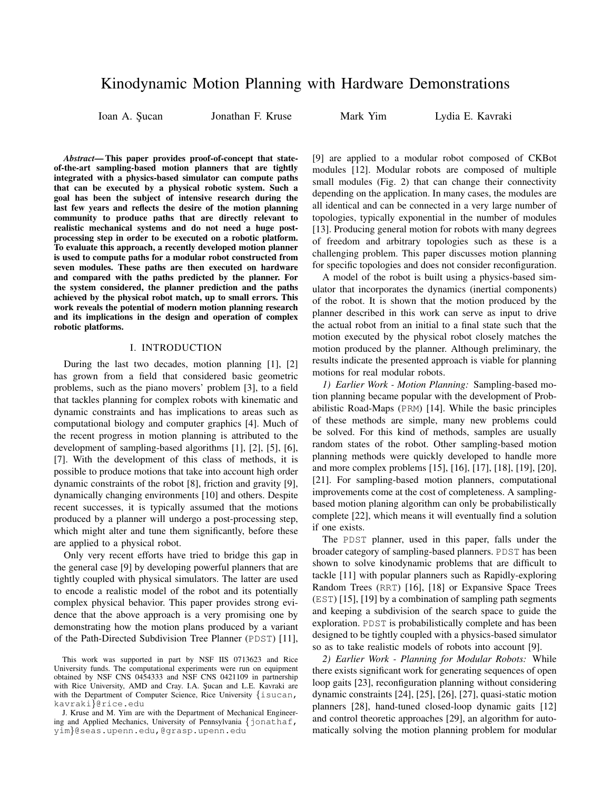# Kinodynamic Motion Planning with Hardware Demonstrations

Ioan A. Sucan **Ionathan F. Kruse** Mark Yim Lydia E. Kavraki

*Abstract*— This paper provides proof-of-concept that stateof-the-art sampling-based motion planners that are tightly integrated with a physics-based simulator can compute paths that can be executed by a physical robotic system. Such a goal has been the subject of intensive research during the last few years and reflects the desire of the motion planning community to produce paths that are directly relevant to realistic mechanical systems and do not need a huge postprocessing step in order to be executed on a robotic platform. To evaluate this approach, a recently developed motion planner is used to compute paths for a modular robot constructed from seven modules. These paths are then executed on hardware and compared with the paths predicted by the planner. For the system considered, the planner prediction and the paths achieved by the physical robot match, up to small errors. This work reveals the potential of modern motion planning research and its implications in the design and operation of complex robotic platforms.

## I. INTRODUCTION

During the last two decades, motion planning [1], [2] has grown from a field that considered basic geometric problems, such as the piano movers' problem [3], to a field that tackles planning for complex robots with kinematic and dynamic constraints and has implications to areas such as computational biology and computer graphics [4]. Much of the recent progress in motion planning is attributed to the development of sampling-based algorithms [1], [2], [5], [6], [7]. With the development of this class of methods, it is possible to produce motions that take into account high order dynamic constraints of the robot [8], friction and gravity [9], dynamically changing environments [10] and others. Despite recent successes, it is typically assumed that the motions produced by a planner will undergo a post-processing step, which might alter and tune them significantly, before these are applied to a physical robot.

Only very recent efforts have tried to bridge this gap in the general case [9] by developing powerful planners that are tightly coupled with physical simulators. The latter are used to encode a realistic model of the robot and its potentially complex physical behavior. This paper provides strong evidence that the above approach is a very promising one by demonstrating how the motion plans produced by a variant of the Path-Directed Subdivision Tree Planner (PDST) [11], [9] are applied to a modular robot composed of CKBot modules [12]. Modular robots are composed of multiple small modules (Fig. 2) that can change their connectivity depending on the application. In many cases, the modules are all identical and can be connected in a very large number of topologies, typically exponential in the number of modules [13]. Producing general motion for robots with many degrees of freedom and arbitrary topologies such as these is a challenging problem. This paper discusses motion planning for specific topologies and does not consider reconfiguration.

A model of the robot is built using a physics-based simulator that incorporates the dynamics (inertial components) of the robot. It is shown that the motion produced by the planner described in this work can serve as input to drive the actual robot from an initial to a final state such that the motion executed by the physical robot closely matches the motion produced by the planner. Although preliminary, the results indicate the presented approach is viable for planning motions for real modular robots.

*1) Earlier Work - Motion Planning:* Sampling-based motion planning became popular with the development of Probabilistic Road-Maps (PRM) [14]. While the basic principles of these methods are simple, many new problems could be solved. For this kind of methods, samples are usually random states of the robot. Other sampling-based motion planning methods were quickly developed to handle more and more complex problems [15], [16], [17], [18], [19], [20], [21]. For sampling-based motion planners, computational improvements come at the cost of completeness. A samplingbased motion planing algorithm can only be probabilistically complete [22], which means it will eventually find a solution if one exists.

The PDST planner, used in this paper, falls under the broader category of sampling-based planners. PDST has been shown to solve kinodynamic problems that are difficult to tackle [11] with popular planners such as Rapidly-exploring Random Trees (RRT) [16], [18] or Expansive Space Trees (EST) [15], [19] by a combination of sampling path segments and keeping a subdivision of the search space to guide the exploration. PDST is probabilistically complete and has been designed to be tightly coupled with a physics-based simulator so as to take realistic models of robots into account [9].

*2) Earlier Work - Planning for Modular Robots:* While there exists significant work for generating sequences of open loop gaits [23], reconfiguration planning without considering dynamic constraints [24], [25], [26], [27], quasi-static motion planners [28], hand-tuned closed-loop dynamic gaits [12] and control theoretic approaches [29], an algorithm for automatically solving the motion planning problem for modular

This work was supported in part by NSF IIS 0713623 and Rice University funds. The computational experiments were run on equipment obtained by NSF CNS 0454333 and NSF CNS 0421109 in partnership with Rice University, AMD and Cray. I.A. Şucan and L.E. Kavraki are with the Department of Computer Science, Rice University {isucan, kavraki}@rice.edu

J. Kruse and M. Yim are with the Department of Mechanical Engineering and Applied Mechanics, University of Pennsylvania {jonathaf, yim}@seas.upenn.edu,@grasp.upenn.edu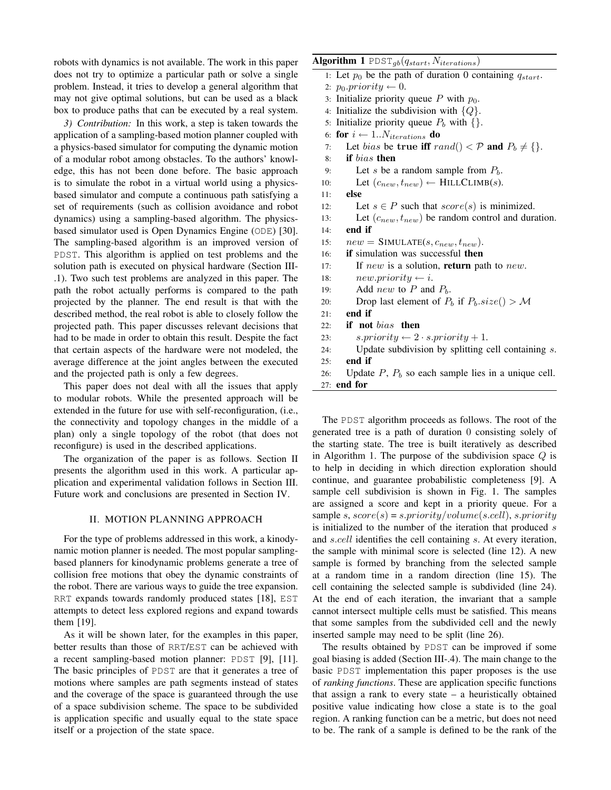robots with dynamics is not available. The work in this paper does not try to optimize a particular path or solve a single problem. Instead, it tries to develop a general algorithm that may not give optimal solutions, but can be used as a black box to produce paths that can be executed by a real system.

*3) Contribution:* In this work, a step is taken towards the application of a sampling-based motion planner coupled with a physics-based simulator for computing the dynamic motion of a modular robot among obstacles. To the authors' knowledge, this has not been done before. The basic approach is to simulate the robot in a virtual world using a physicsbased simulator and compute a continuous path satisfying a set of requirements (such as collision avoidance and robot dynamics) using a sampling-based algorithm. The physicsbased simulator used is Open Dynamics Engine (ODE) [30]. The sampling-based algorithm is an improved version of PDST. This algorithm is applied on test problems and the solution path is executed on physical hardware (Section III- .1). Two such test problems are analyzed in this paper. The path the robot actually performs is compared to the path projected by the planner. The end result is that with the described method, the real robot is able to closely follow the projected path. This paper discusses relevant decisions that had to be made in order to obtain this result. Despite the fact that certain aspects of the hardware were not modeled, the average difference at the joint angles between the executed and the projected path is only a few degrees.

This paper does not deal with all the issues that apply to modular robots. While the presented approach will be extended in the future for use with self-reconfiguration, (i.e., the connectivity and topology changes in the middle of a plan) only a single topology of the robot (that does not reconfigure) is used in the described applications.

The organization of the paper is as follows. Section II presents the algorithm used in this work. A particular application and experimental validation follows in Section III. Future work and conclusions are presented in Section IV.

### II. MOTION PLANNING APPROACH

For the type of problems addressed in this work, a kinodynamic motion planner is needed. The most popular samplingbased planners for kinodynamic problems generate a tree of collision free motions that obey the dynamic constraints of the robot. There are various ways to guide the tree expansion. RRT expands towards randomly produced states [18], EST attempts to detect less explored regions and expand towards them [19].

As it will be shown later, for the examples in this paper, better results than those of RRT/EST can be achieved with a recent sampling-based motion planner: PDST [9], [11]. The basic principles of PDST are that it generates a tree of motions where samples are path segments instead of states and the coverage of the space is guaranteed through the use of a space subdivision scheme. The space to be subdivided is application specific and usually equal to the state space itself or a projection of the state space.

| Algorithm 1 $\text{PDF}_{gb}(q_{start}, N_{iterations})$                     |
|------------------------------------------------------------------------------|
| 1: Let $p_0$ be the path of duration 0 containing $q_{start}$ .              |
| 2: $p_0$ . priority $\leftarrow 0$ .                                         |
| 3: Initialize priority queue P with $p_0$ .                                  |
| 4: Initialize the subdivision with $\{Q\}$ .                                 |
| 5: Initialize priority queue $P_b$ with $\{\}.$                              |
| 6: for $i \leftarrow 1N_{iterations}$ do                                     |
| Let bias be true iff rand() $\langle \mathcal{P}$ and $P_b \neq \{\}.$<br>7: |
| if bias then<br>8:                                                           |
| Let s be a random sample from $P_b$ .<br>9:                                  |
| Let $(c_{new}, t_{new}) \leftarrow \text{HILLCLIMB}(s)$ .<br>10:             |
| else<br>11:                                                                  |
| Let $s \in P$ such that $score(s)$ is minimized.<br>12:                      |
| Let $(c_{new}, t_{new})$ be random control and duration.<br>13:              |
| end if<br>14:                                                                |
| $new = SIMULATE(s, c_{new}, t_{new}).$<br>15:                                |
| <b>if</b> simulation was successful <b>then</b><br>16:                       |
| If new is a solution, <b>return</b> path to new.<br>17:                      |
| $new.printy \leftarrow i.$<br>18:                                            |
| Add <i>new</i> to P and $P_b$ .<br>19:                                       |
| Drop last element of $P_b$ if $P_b.size() > M$<br>20:                        |
| end if<br>21:                                                                |
| if not bias then<br>22:                                                      |
| $s. priority \leftarrow 2 \cdot s. priority + 1.$<br>23:                     |
| Update subdivision by splitting cell containing $s$ .<br>24:                 |
| end if<br>25:                                                                |
| Update $P$ , $P_b$ so each sample lies in a unique cell.<br>26:              |
| $27:$ end for                                                                |

The PDST algorithm proceeds as follows. The root of the generated tree is a path of duration 0 consisting solely of the starting state. The tree is built iteratively as described in Algorithm 1. The purpose of the subdivision space  $Q$  is to help in deciding in which direction exploration should continue, and guarantee probabilistic completeness [9]. A sample cell subdivision is shown in Fig. 1. The samples are assigned a score and kept in a priority queue. For a sample s,  $score(s) = s.printty/volume(s.cell)$ , s.priority is initialized to the number of the iteration that produced  $s$ and s.cell identifies the cell containing s. At every iteration, the sample with minimal score is selected (line 12). A new sample is formed by branching from the selected sample at a random time in a random direction (line 15). The cell containing the selected sample is subdivided (line 24). At the end of each iteration, the invariant that a sample cannot intersect multiple cells must be satisfied. This means that some samples from the subdivided cell and the newly inserted sample may need to be split (line 26).

The results obtained by PDST can be improved if some goal biasing is added (Section III-.4). The main change to the basic PDST implementation this paper proposes is the use of *ranking functions*. These are application specific functions that assign a rank to every state – a heuristically obtained positive value indicating how close a state is to the goal region. A ranking function can be a metric, but does not need to be. The rank of a sample is defined to be the rank of the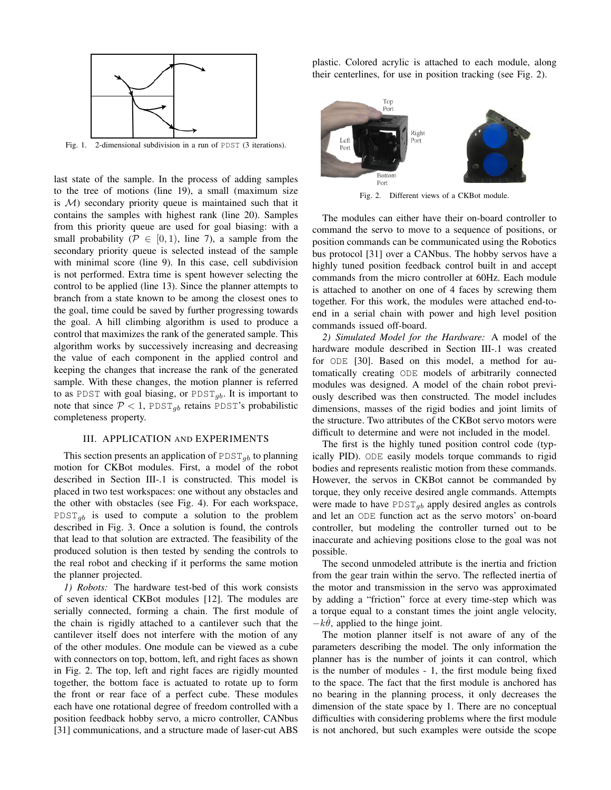

Fig. 1. 2-dimensional subdivision in a run of PDST (3 iterations).

last state of the sample. In the process of adding samples to the tree of motions (line 19), a small (maximum size is  $M$ ) secondary priority queue is maintained such that it contains the samples with highest rank (line 20). Samples from this priority queue are used for goal biasing: with a small probability ( $\mathcal{P} \in [0, 1)$ , line 7), a sample from the secondary priority queue is selected instead of the sample with minimal score (line 9). In this case, cell subdivision is not performed. Extra time is spent however selecting the control to be applied (line 13). Since the planner attempts to branch from a state known to be among the closest ones to the goal, time could be saved by further progressing towards the goal. A hill climbing algorithm is used to produce a control that maximizes the rank of the generated sample. This algorithm works by successively increasing and decreasing the value of each component in the applied control and keeping the changes that increase the rank of the generated sample. With these changes, the motion planner is referred to as PDST with goal biasing, or PDST<sub>gb</sub>. It is important to note that since  $P < 1$ , PDST<sub>qb</sub> retains PDST's probabilistic completeness property.

# III. APPLICATION AND EXPERIMENTS

This section presents an application of  $\text{PDST}_{qb}$  to planning motion for CKBot modules. First, a model of the robot described in Section III-.1 is constructed. This model is placed in two test workspaces: one without any obstacles and the other with obstacles (see Fig. 4). For each workspace,  $PDIST_{ab}$  is used to compute a solution to the problem described in Fig. 3. Once a solution is found, the controls that lead to that solution are extracted. The feasibility of the produced solution is then tested by sending the controls to the real robot and checking if it performs the same motion the planner projected.

*1) Robots:* The hardware test-bed of this work consists of seven identical CKBot modules [12]. The modules are serially connected, forming a chain. The first module of the chain is rigidly attached to a cantilever such that the cantilever itself does not interfere with the motion of any of the other modules. One module can be viewed as a cube with connectors on top, bottom, left, and right faces as shown in Fig. 2. The top, left and right faces are rigidly mounted together, the bottom face is actuated to rotate up to form the front or rear face of a perfect cube. These modules each have one rotational degree of freedom controlled with a position feedback hobby servo, a micro controller, CANbus [31] communications, and a structure made of laser-cut ABS

plastic. Colored acrylic is attached to each module, along their centerlines, for use in position tracking (see Fig. 2).



Fig. 2. Different views of a CKBot module.

The modules can either have their on-board controller to command the servo to move to a sequence of positions, or position commands can be communicated using the Robotics bus protocol [31] over a CANbus. The hobby servos have a highly tuned position feedback control built in and accept commands from the micro controller at 60Hz. Each module is attached to another on one of 4 faces by screwing them together. For this work, the modules were attached end-toend in a serial chain with power and high level position commands issued off-board.

*2) Simulated Model for the Hardware:* A model of the hardware module described in Section III-.1 was created for ODE [30]. Based on this model, a method for automatically creating ODE models of arbitrarily connected modules was designed. A model of the chain robot previously described was then constructed. The model includes dimensions, masses of the rigid bodies and joint limits of the structure. Two attributes of the CKBot servo motors were difficult to determine and were not included in the model.

The first is the highly tuned position control code (typically PID). ODE easily models torque commands to rigid bodies and represents realistic motion from these commands. However, the servos in CKBot cannot be commanded by torque, they only receive desired angle commands. Attempts were made to have  $PDST_{gb}$  apply desired angles as controls and let an ODE function act as the servo motors' on-board controller, but modeling the controller turned out to be inaccurate and achieving positions close to the goal was not possible.

The second unmodeled attribute is the inertia and friction from the gear train within the servo. The reflected inertia of the motor and transmission in the servo was approximated by adding a "friction" force at every time-step which was a torque equal to a constant times the joint angle velocity,  $-k\dot{\theta}$ , applied to the hinge joint.

The motion planner itself is not aware of any of the parameters describing the model. The only information the planner has is the number of joints it can control, which is the number of modules - 1, the first module being fixed to the space. The fact that the first module is anchored has no bearing in the planning process, it only decreases the dimension of the state space by 1. There are no conceptual difficulties with considering problems where the first module is not anchored, but such examples were outside the scope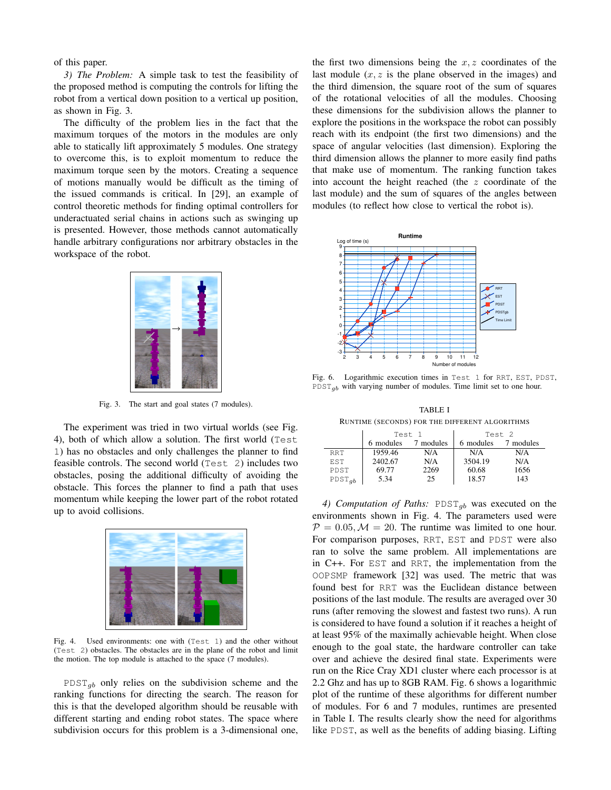of this paper.

*3) The Problem:* A simple task to test the feasibility of the proposed method is computing the controls for lifting the robot from a vertical down position to a vertical up position, as shown in Fig. 3.

The difficulty of the problem lies in the fact that the maximum torques of the motors in the modules are only able to statically lift approximately 5 modules. One strategy to overcome this, is to exploit momentum to reduce the maximum torque seen by the motors. Creating a sequence of motions manually would be difficult as the timing of the issued commands is critical. In [29], an example of control theoretic methods for finding optimal controllers for underactuated serial chains in actions such as swinging up is presented. However, those methods cannot automatically handle arbitrary configurations nor arbitrary obstacles in the workspace of the robot.



Fig. 3. The start and goal states (7 modules).

The experiment was tried in two virtual worlds (see Fig. 4), both of which allow a solution. The first world (Test 1) has no obstacles and only challenges the planner to find feasible controls. The second world (Test 2) includes two obstacles, posing the additional difficulty of avoiding the obstacle. This forces the planner to find a path that uses momentum while keeping the lower part of the robot rotated up to avoid collisions.



Fig. 4. Used environments: one with (Test 1) and the other without (Test 2) obstacles. The obstacles are in the plane of the robot and limit the motion. The top module is attached to the space (7 modules).

 $PDST_{gb}$  only relies on the subdivision scheme and the ranking functions for directing the search. The reason for this is that the developed algorithm should be reusable with different starting and ending robot states. The space where subdivision occurs for this problem is a 3-dimensional one, the first two dimensions being the  $x, z$  coordinates of the last module  $(x, z)$  is the plane observed in the images) and the third dimension, the square root of the sum of squares of the rotational velocities of all the modules. Choosing these dimensions for the subdivision allows the planner to explore the positions in the workspace the robot can possibly reach with its endpoint (the first two dimensions) and the space of angular velocities (last dimension). Exploring the third dimension allows the planner to more easily find paths that make use of momentum. The ranking function takes into account the height reached (the z coordinate of the last module) and the sum of squares of the angles between modules (to reflect how close to vertical the robot is).



Fig. 6. Logarithmic execution times in Test 1 for RRT, EST, PDST,  $PDST_{ab}$  with varying number of modules. Time limit set to one hour.

TABLE I RUNTIME (SECONDS) FOR THE DIFFERENT ALGORITHMS

|             | Test 1    |           | Test <sub>2</sub> |           |  |
|-------------|-----------|-----------|-------------------|-----------|--|
|             | 6 modules | 7 modules | 6 modules         | 7 modules |  |
| <b>RRT</b>  | 1959.46   | N/A       | N/A               | N/A       |  |
| <b>EST</b>  | 2402.67   | N/A       | 3504.19           | N/A       |  |
| PDST        | 69.77     | 2269      | 60.68             | 1656      |  |
| $PDST_{gb}$ | 5.34      | 25        | 18.57             | 143       |  |

4) Computation of Paths:  $PDST_{gb}$  was executed on the environments shown in Fig. 4. The parameters used were  $\mathcal{P} = 0.05, \mathcal{M} = 20$ . The runtime was limited to one hour. For comparison purposes, RRT, EST and PDST were also ran to solve the same problem. All implementations are in C++. For EST and RRT, the implementation from the OOPSMP framework [32] was used. The metric that was found best for RRT was the Euclidean distance between positions of the last module. The results are averaged over 30 runs (after removing the slowest and fastest two runs). A run is considered to have found a solution if it reaches a height of at least 95% of the maximally achievable height. When close enough to the goal state, the hardware controller can take over and achieve the desired final state. Experiments were run on the Rice Cray XD1 cluster where each processor is at 2.2 Ghz and has up to 8GB RAM. Fig. 6 shows a logarithmic plot of the runtime of these algorithms for different number of modules. For 6 and 7 modules, runtimes are presented in Table I. The results clearly show the need for algorithms like PDST, as well as the benefits of adding biasing. Lifting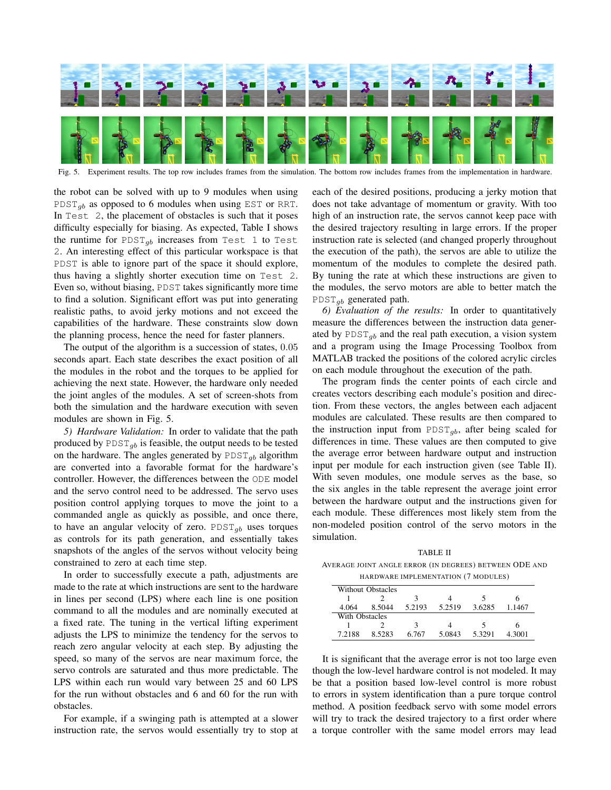

Fig. 5. Experiment results. The top row includes frames from the simulation. The bottom row includes frames from the implementation in hardware.

the robot can be solved with up to 9 modules when using PDST<sub>ab</sub> as opposed to 6 modules when using EST or RRT. In Test 2, the placement of obstacles is such that it poses difficulty especially for biasing. As expected, Table I shows the runtime for PDST<sub>gb</sub> increases from Test 1 to Test 2. An interesting effect of this particular workspace is that PDST is able to ignore part of the space it should explore, thus having a slightly shorter execution time on Test 2. Even so, without biasing, PDST takes significantly more time to find a solution. Significant effort was put into generating realistic paths, to avoid jerky motions and not exceed the capabilities of the hardware. These constraints slow down the planning process, hence the need for faster planners.

The output of the algorithm is a succession of states, 0.05 seconds apart. Each state describes the exact position of all the modules in the robot and the torques to be applied for achieving the next state. However, the hardware only needed the joint angles of the modules. A set of screen-shots from both the simulation and the hardware execution with seven modules are shown in Fig. 5.

*5) Hardware Validation:* In order to validate that the path produced by  $PDIST_{gb}$  is feasible, the output needs to be tested on the hardware. The angles generated by  $PDST_{ab}$  algorithm are converted into a favorable format for the hardware's controller. However, the differences between the ODE model and the servo control need to be addressed. The servo uses position control applying torques to move the joint to a commanded angle as quickly as possible, and once there, to have an angular velocity of zero.  $PDST_{qb}$  uses torques as controls for its path generation, and essentially takes snapshots of the angles of the servos without velocity being constrained to zero at each time step.

In order to successfully execute a path, adjustments are made to the rate at which instructions are sent to the hardware in lines per second (LPS) where each line is one position command to all the modules and are nominally executed at a fixed rate. The tuning in the vertical lifting experiment adjusts the LPS to minimize the tendency for the servos to reach zero angular velocity at each step. By adjusting the speed, so many of the servos are near maximum force, the servo controls are saturated and thus more predictable. The LPS within each run would vary between 25 and 60 LPS for the run without obstacles and 6 and 60 for the run with obstacles.

For example, if a swinging path is attempted at a slower instruction rate, the servos would essentially try to stop at each of the desired positions, producing a jerky motion that does not take advantage of momentum or gravity. With too high of an instruction rate, the servos cannot keep pace with the desired trajectory resulting in large errors. If the proper instruction rate is selected (and changed properly throughout the execution of the path), the servos are able to utilize the momentum of the modules to complete the desired path. By tuning the rate at which these instructions are given to the modules, the servo motors are able to better match the  $PDST_{ab}$  generated path.

*6) Evaluation of the results:* In order to quantitatively measure the differences between the instruction data generated by  $PDIST_{gb}$  and the real path execution, a vision system and a program using the Image Processing Toolbox from MATLAB tracked the positions of the colored acrylic circles on each module throughout the execution of the path.

The program finds the center points of each circle and creates vectors describing each module's position and direction. From these vectors, the angles between each adjacent modules are calculated. These results are then compared to the instruction input from  $PDST_{qb}$ , after being scaled for differences in time. These values are then computed to give the average error between hardware output and instruction input per module for each instruction given (see Table II). With seven modules, one module serves as the base, so the six angles in the table represent the average joint error between the hardware output and the instructions given for each module. These differences most likely stem from the non-modeled position control of the servo motors in the simulation.

TABLE II AVERAGE JOINT ANGLE ERROR (IN DEGREES) BETWEEN ODE AND HARDWARE IMPLEMENTATION (7 MODULES)

|                | <b>Without Obstacles</b> |        |        |        |        |  |
|----------------|--------------------------|--------|--------|--------|--------|--|
|                |                          |        |        |        |        |  |
| 4.064          | 8.5044                   | 5.2193 | 5.2519 | 3.6285 | 1.1467 |  |
| With Obstacles |                          |        |        |        |        |  |
|                |                          | 3      |        |        |        |  |
| 7.2188         | 8.5283                   | 6.767  | 5.0843 | 5.3291 | 4.3001 |  |

It is significant that the average error is not too large even though the low-level hardware control is not modeled. It may be that a position based low-level control is more robust to errors in system identification than a pure torque control method. A position feedback servo with some model errors will try to track the desired trajectory to a first order where a torque controller with the same model errors may lead